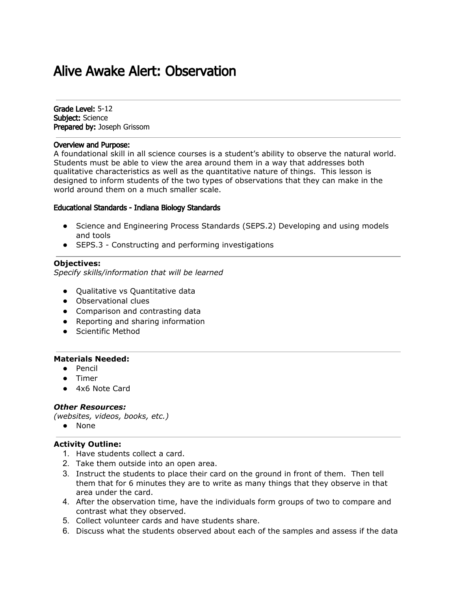# Alive Awake Alert: Observation

Grade Level: 5-12 Subject: Science Prepared by: Joseph Grissom

## Overview and Purpose:

A foundational skill in all science courses is a student's ability to observe the natural world. Students must be able to view the area around them in a way that addresses both qualitative characteristics as well as the quantitative nature of things. This lesson is designed to inform students of the two types of observations that they can make in the world around them on a much smaller scale.

#### Educational Standards - Indiana Biology Standards

- Science and Engineering Process Standards (SEPS.2) Developing and using models and tools
- SEPS.3 Constructing and performing investigations

#### **Objectives:**

*Specify skills/information that will be learned*

- Qualitative vs Quantitative data
- Observational clues
- Comparison and contrasting data
- Reporting and sharing information
- Scientific Method

#### **Materials Needed:**

- Pencil
- Timer
- 4x6 Note Card

### *Other Resources:*

*(websites, videos, books, etc.)*

● None

## **Activity Outline:**

- 1. Have students collect a card.
- 2. Take them outside into an open area.
- 3. Instruct the students to place their card on the ground in front of them. Then tell them that for 6 minutes they are to write as many things that they observe in that area under the card.
- 4. After the observation time, have the individuals form groups of two to compare and contrast what they observed.
- 5. Collect volunteer cards and have students share.
- 6. Discuss what the students observed about each of the samples and assess if the data